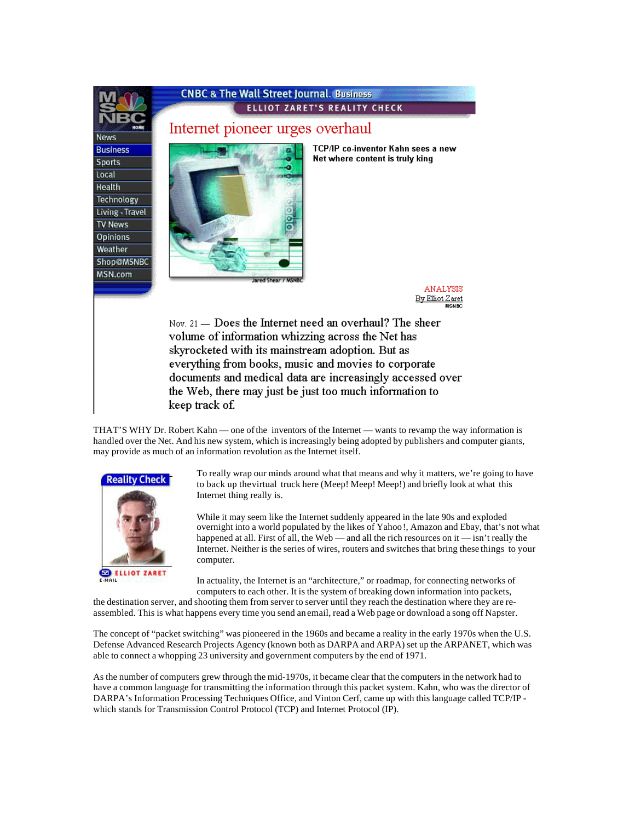

THAT'S WHY Dr. Robert Kahn — one of the inventors of the Internet — wants to revamp the way information is handled over the Net. And his new system, which is increasingly being adopted by publishers and computer giants, may provide as much of an information revolution as the Internet itself.



To really wrap our minds around what that means and why it matters, we're going to have to back up the virtual truck here (Meep! Meep! Meep!) and briefly look at what this Internet thing really is.

While it may seem like the Internet suddenly appeared in the late 90s and exploded overnight into a world populated by the likes of Yahoo!, Amazon and Ebay, that's not what happened at all. First of all, the Web — and all the rich resources on it — isn't really the Internet. Neither is the series of wires, routers and switches that bring these things to your computer.

In actuality, the Internet is an "architecture," or roadmap, for connecting networks of computers to each other. It is the system of breaking down information into packets,

the destination server, and shooting them from server to server until they reach the destination where they are reassembled. This is what happens every time you send an email, read a Web page or download a song off Napster.

The concept of "packet switching" was pioneered in the 1960s and became a reality in the early 1970s when the U.S. Defense Advanced Research Projects Agency (known both as DARPA and ARPA) set up the ARPANET, which was able to connect a whopping 23 university and government computers by the end of 1971.

As the number of computers grew through the mid-1970s, it became clear that the computers in the network had to have a common language for transmitting the information through this packet system. Kahn, who was the director of DARPA's Information Processing Techniques Office, and Vinton Cerf, came up with this language called TCP/IP which stands for Transmission Control Protocol (TCP) and Internet Protocol (IP).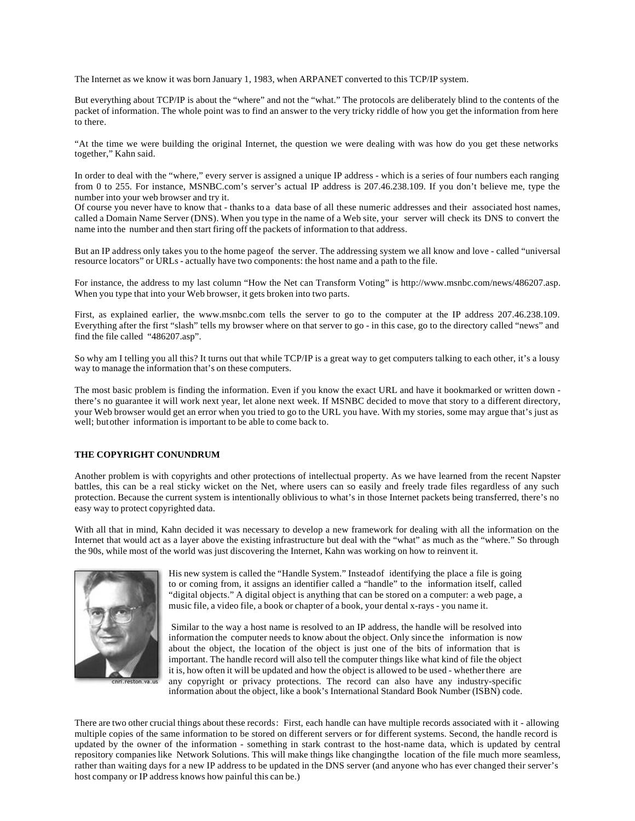The Internet as we know it was born January 1, 1983, when ARPANET converted to this TCP/IP system.

But everything about TCP/IP is about the "where" and not the "what." The protocols are deliberately blind to the contents of the packet of information. The whole point was to find an answer to the very tricky riddle of how you get the information from here to there.

"At the time we were building the original Internet, the question we were dealing with was how do you get these networks together," Kahn said.

In order to deal with the "where," every server is assigned a unique IP address - which is a series of four numbers each ranging from 0 to 255. For instance, MSNBC.com's server's actual IP address is 207.46.238.109. If you don't believe me, type the number into your web browser and try it.

Of course you never have to know that - thanks to a data base of all these numeric addresses and their associated host names, called a Domain Name Server (DNS). When you type in the name of a Web site, your server will check its DNS to convert the name into the number and then start firing off the packets of information to that address.

But an IP address only takes you to the home page of the server. The addressing system we all know and love - called "universal" resource locators" or URLs - actually have two components: the host name and a path to the file.

For instance, the address to my last column "How the Net can Transform Voting" is http://www.msnbc.com/news/486207.asp. When you type that into your Web browser, it gets broken into two parts.

First, as explained earlier, the www.msnbc.com tells the server to go to the computer at the IP address 207.46.238.109. Everything after the first "slash" tells my browser where on that server to go - in this case, go to the directory called "news" and find the file called "486207.asp".

So why am I telling you all this? It turns out that while TCP/IP is a great way to get computers talking to each other, it's a lousy way to manage the information that's on these computers.

The most basic problem is finding the information. Even if you know the exact URL and have it bookmarked or written down there's no guarantee it will work next year, let alone next week. If MSNBC decided to move that story to a different directory, your Web browser would get an error when you tried to go to the URL you have. With my stories, some may argue that's just as well; but other information is important to be able to come back to.

## **THE COPYRIGHT CONUNDRUM**

Another problem is with copyrights and other protections of intellectual property. As we have learned from the recent Napster battles, this can be a real sticky wicket on the Net, where users can so easily and freely trade files regardless of any such protection. Because the current system is intentionally oblivious to what's in those Internet packets being transferred, there's no easy way to protect copyrighted data.

With all that in mind, Kahn decided it was necessary to develop a new framework for dealing with all the information on the Internet that would act as a layer above the existing infrastructure but deal with the "what" as much as the "where." So through the 90s, while most of the world was just discovering the Internet, Kahn was working on how to reinvent it.



His new system is called the "Handle System." Instead of identifying the place a file is going to or coming from, it assigns an identifier called a "handle" to the information itself, called "digital objects." A digital object is anything that can be stored on a computer: a web page, a music file, a video file, a book or chapter of a book, your dental x-rays - you name it.

 Similar to the way a host name is resolved to an IP address, the handle will be resolved into information the computer needs to know about the object. Only since the information is now about the object, the location of the object is just one of the bits of information that is important. The handle record will also tell the computer things like what kind of file the object it is, how often it will be updated and how the object is allowed to be used - whether there are any copyright or privacy protections. The record can also have any industry-specific information about the object, like a book's International Standard Book Number (ISBN) code.

There are two other crucial things about these records: First, each handle can have multiple records associated with it - allowing multiple copies of the same information to be stored on different servers or for different systems. Second, the handle record is updated by the owner of the information - something in stark contrast to the host-name data, which is updated by central repository companies like Network Solutions. This will make things like changing the location of the file much more seamless, rather than waiting days for a new IP address to be updated in the DNS server (and anyone who has ever changed their server's host company or IP address knows how painful this can be.)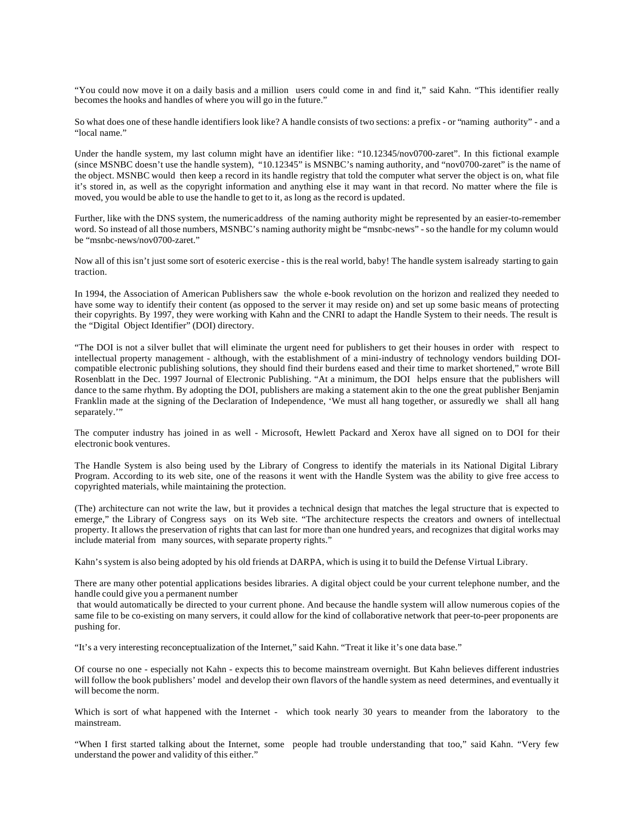"You could now move it on a daily basis and a million users could come in and find it," said Kahn. "This identifier really becomes the hooks and handles of where you will go in the future."

So what does one of these handle identifiers look like? A handle consists of two sections: a prefix - or "naming authority" - and a "local name."

Under the handle system, my last column might have an identifier like: "10.12345/nov0700-zaret". In this fictional example (since MSNBC doesn't use the handle system), "10.12345" is MSNBC's naming authority, and "nov0700-zaret" is the name of the object. MSNBC would then keep a record in its handle registry that told the computer what server the object is on, what file it's stored in, as well as the copyright information and anything else it may want in that record. No matter where the file is moved, you would be able to use the handle to get to it, as long as the record is updated.

Further, like with the DNS system, the numeric address of the naming authority might be represented by an easier-to-remember word. So instead of all those numbers, MSNBC's naming authority might be "msnbc-news" - so the handle for my column would be "msnbc-news/nov0700-zaret."

Now all of this isn't just some sort of esoteric exercise - this is the real world, baby! The handle system is already starting to gain traction.

In 1994, the Association of American Publishers saw the whole e-book revolution on the horizon and realized they needed to have some way to identify their content (as opposed to the server it may reside on) and set up some basic means of protecting their copyrights. By 1997, they were working with Kahn and the CNRI to adapt the Handle System to their needs. The result is the "Digital Object Identifier" (DOI) directory.

"The DOI is not a silver bullet that will eliminate the urgent need for publishers to get their houses in order with respect to intellectual property management - although, with the establishment of a mini-industry of technology vendors building DOIcompatible electronic publishing solutions, they should find their burdens eased and their time to market shortened," wrote Bill Rosenblatt in the Dec. 1997 Journal of Electronic Publishing. "At a minimum, the DOI helps ensure that the publishers will dance to the same rhythm. By adopting the DOI, publishers are making a statement akin to the one the great publisher Benjamin Franklin made at the signing of the Declaration of Independence, 'We must all hang together, or assuredly we shall all hang separately."

The computer industry has joined in as well - Microsoft, Hewlett Packard and Xerox have all signed on to DOI for their electronic book ventures.

The Handle System is also being used by the Library of Congress to identify the materials in its National Digital Library Program. According to its web site, one of the reasons it went with the Handle System was the ability to give free access to copyrighted materials, while maintaining the protection.

(The) architecture can not write the law, but it provides a technical design that matches the legal structure that is expected to emerge," the Library of Congress says on its Web site. "The architecture respects the creators and owners of intellectual property. It allows the preservation of rights that can last for more than one hundred years, and recognizes that digital works may include material from many sources, with separate property rights."

Kahn's system is also being adopted by his old friends at DARPA, which is using it to build the Defense Virtual Library.

There are many other potential applications besides libraries. A digital object could be your current telephone number, and the handle could give you a permanent number

that would automatically be directed to your current phone. And because the handle system will allow numerous copies of the same file to be co-existing on many servers, it could allow for the kind of collaborative network that peer-to-peer proponents are pushing for.

"It's a very interesting reconceptualization of the Internet," said Kahn. "Treat it like it's one data base."

Of course no one - especially not Kahn - expects this to become mainstream overnight. But Kahn believes different industries will follow the book publishers' model and develop their own flavors of the handle system as need determines, and eventually it will become the norm.

Which is sort of what happened with the Internet - which took nearly 30 years to meander from the laboratory to the mainstream.

"When I first started talking about the Internet, some people had trouble understanding that too," said Kahn. "Very few understand the power and validity of this either."